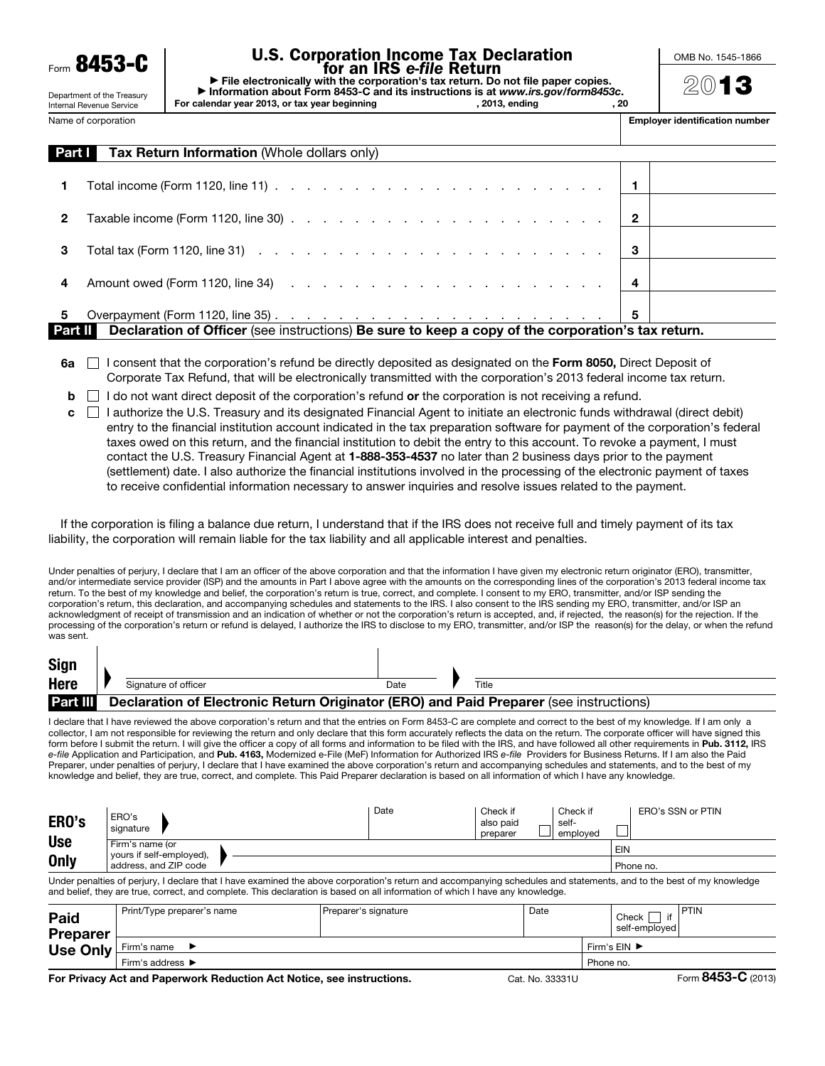8453-C

# U.S. Corporation Income Tax Declaration for an IRS *e-file* Return

▶ File electronically with the corporation's tax return. Do not file paper copies. ▶ Information about Form 8453-C and its instructions is at *www.irs.gov/form8453c*. For calendar year 2013, or tax year beginning and metal of 2013, ending and metal of 2013, 20 OMB No. 1545-1866

2013

Internal Revenue Service Name of corporation

Department of the Treasury

| <b>Employer identification number</b> |
|---------------------------------------|
|---------------------------------------|

| Part I | <b>Tax Return Information (Whole dollars only)</b>                                                                               |   |  |  |  |  |  |  |
|--------|----------------------------------------------------------------------------------------------------------------------------------|---|--|--|--|--|--|--|
| 1.     | Total income (Form 1120, line 11) $\ldots$ $\ldots$ $\ldots$ $\ldots$ $\ldots$ $\ldots$ $\ldots$ $\ldots$ $\ldots$ $\vdots$      |   |  |  |  |  |  |  |
| 2      |                                                                                                                                  |   |  |  |  |  |  |  |
| 3      | Total tax (Form 1120, line 31) $\cdots$ $\cdots$ $\cdots$ $\cdots$ $\cdots$ $\cdots$ $\cdots$ $\cdots$ $\cdots$ $\cdots$ $\cdot$ |   |  |  |  |  |  |  |
| 4      |                                                                                                                                  |   |  |  |  |  |  |  |
| 5      |                                                                                                                                  | 5 |  |  |  |  |  |  |
|        | Part II I<br>Declaration of Officer (see instructions) Be sure to keep a copy of the corporation's tax return.                   |   |  |  |  |  |  |  |

- $6a \cap$  I consent that the corporation's refund be directly deposited as designated on the Form 8050, Direct Deposit of Corporate Tax Refund, that will be electronically transmitted with the corporation's 2013 federal income tax return.
- $\mathbf{b}$  I do not want direct deposit of the corporation's refund or the corporation is not receiving a refund.
- $c \Box$  I authorize the U.S. Treasury and its designated Financial Agent to initiate an electronic funds withdrawal (direct debit) entry to the financial institution account indicated in the tax preparation software for payment of the corporation's federal taxes owed on this return, and the financial institution to debit the entry to this account. To revoke a payment, I must contact the U.S. Treasury Financial Agent at 1-888-353-4537 no later than 2 business days prior to the payment (settlement) date. I also authorize the financial institutions involved in the processing of the electronic payment of taxes to receive confidential information necessary to answer inquiries and resolve issues related to the payment.

If the corporation is filing a balance due return, I understand that if the IRS does not receive full and timely payment of its tax liability, the corporation will remain liable for the tax liability and all applicable interest and penalties.

Under penalties of perjury, I declare that I am an officer of the above corporation and that the information I have given my electronic return originator (ERO), transmitter, and/or intermediate service provider (ISP) and the amounts in Part I above agree with the amounts on the corresponding lines of the corporation's 2013 federal income tax return. To the best of my knowledge and belief, the corporation's return is true, correct, and complete. I consent to my ERO, transmitter, and/or ISP sending the corporation's return, this declaration, and accompanying schedules and statements to the IRS. I also consent to the IRS sending my ERO, transmitter, and/or ISP an acknowledgment of receipt of transmission and an indication of whether or not the corporation's return is accepted, and, if rejected, the reason(s) for the rejection. If the processing of the corporation's return or refund is delayed, I authorize the IRS to disclose to my ERO, transmitter, and/or ISP the reason(s) for the delay, or when the refund was sent.

| Sign            |                                                                                        |      |       |
|-----------------|----------------------------------------------------------------------------------------|------|-------|
| Here            | Signature of officer                                                                   | Date | Title |
| <b>Part III</b> | Declaration of Electronic Return Originator (ERO) and Paid Preparer (see instructions) |      |       |
|                 |                                                                                        |      |       |

I declare that I have reviewed the above corporation's return and that the entries on Form 8453-C are complete and correct to the best of my knowledge. If I am only a collector, I am not responsible for reviewing the return and only declare that this form accurately reflects the data on the return. The corporate officer will have signed this form before I submit the return. I will give the officer a copy of all forms and information to be filed with the IRS, and have followed all other requirements in Pub. 3112, IRS *e-file* Application and Participation, and Pub. 4163, Modernized e-File (MeF) Information for Authorized IRS *e-file* Providers for Business Returns. If I am also the Paid Preparer, under penalties of perjury, I declare that I have examined the above corporation's return and accompanying schedules and statements, and to the best of my knowledge and belief, they are true, correct, and complete. This Paid Preparer declaration is based on all information of which I have any knowledge.

| ERO's       | ERO's<br>signature                          | Date | Check if<br>also paid<br>preparer | Check if<br>self-<br>emploved | ERO's SSN or PTIN |
|-------------|---------------------------------------------|------|-----------------------------------|-------------------------------|-------------------|
| <b>Use</b>  | Firm's name (or<br>yours if self-employed), |      |                                   |                               | EIN               |
| <b>Only</b> | address, and ZIP code                       |      | Phone no.                         |                               |                   |

Under penalties of perjury, I declare that I have examined the above corporation's return and accompanying schedules and statements, and to the best of my knowledge and belief, they are true, correct, and complete. This declaration is based on all information of which I have any knowledge.

| <b>Paid</b><br><b>Preparer</b> | Print/Type preparer's name                                                | Preparer's signature | Date                               | Check<br>self-employed | PTIN                                    |
|--------------------------------|---------------------------------------------------------------------------|----------------------|------------------------------------|------------------------|-----------------------------------------|
| Use Only                       | Firm's name                                                               |                      | Firm's $EIN$ $\blacktriangleright$ |                        |                                         |
|                                | Firm's address $\blacktriangleright$                                      |                      | Phone no.                          |                        |                                         |
|                                | Fee Deiroor Antiqual Denominale Dedication Antibiotics, non-instrumetions |                      | $0.11$ $0.000111$                  |                        | $F_{\text{arm}}$ $\text{RAE3-C}$ (2012) |

For Privacy Act and Paperwork Reduction Act Notice, see instructions. Cat. No. 33331U Form 8433-C (2013)